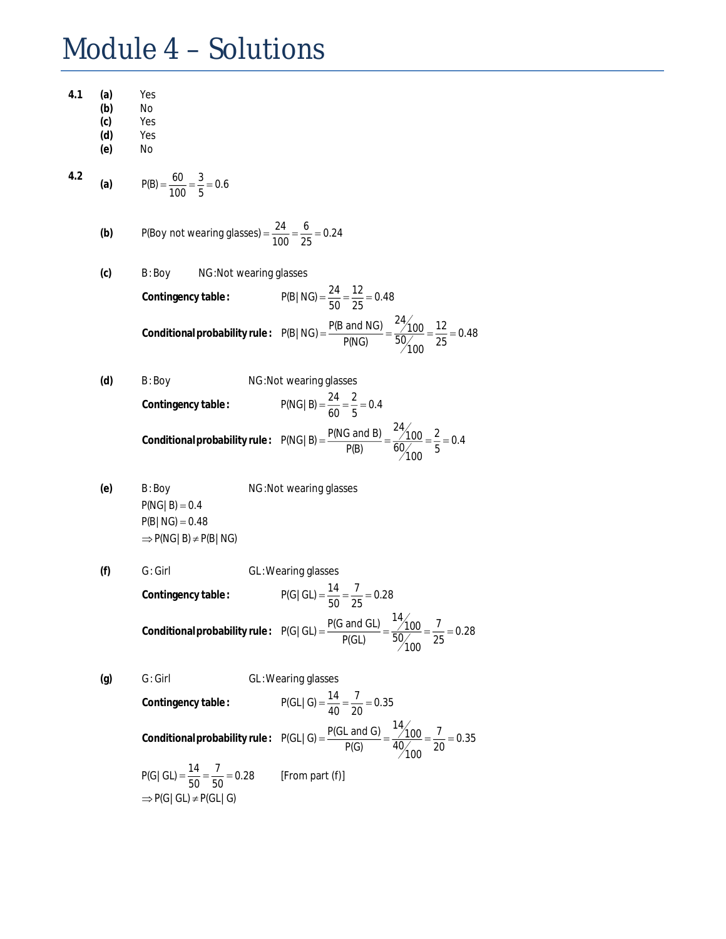## Module 4 – Solutions

| 4.1          | (a)<br>(b)<br>(c)<br>(d)<br>(e) | Yes<br>No<br>Yes<br>Yes<br>No                                                                                 |                                                                                                                            |  |  |
|--------------|---------------------------------|---------------------------------------------------------------------------------------------------------------|----------------------------------------------------------------------------------------------------------------------------|--|--|
| 4.2          | (a)                             | $P(B) = \frac{60}{100} = \frac{3}{5} = 0.6$                                                                   |                                                                                                                            |  |  |
|              | (b)                             |                                                                                                               | P(Boy not wearing glasses) = $\frac{24}{100} = \frac{6}{25} = 0.24$                                                        |  |  |
|              | (c)                             | NG: Not wearing glasses<br>B:Boy                                                                              |                                                                                                                            |  |  |
|              |                                 | Contingency table:                                                                                            | $P(B NG) = \frac{24}{50} = \frac{12}{25} = 0.48$                                                                           |  |  |
|              |                                 |                                                                                                               | Conditional probability rule: $P(B NG) = \frac{P(B \text{ and NG})}{P(NG)} = \frac{24/100}{50/100} = \frac{12}{25} = 0.48$ |  |  |
| (d)<br>B:Boy |                                 |                                                                                                               | NG: Not wearing glasses                                                                                                    |  |  |
|              |                                 | Contingency table:                                                                                            | $P(NG   B) = \frac{24}{60} = \frac{2}{5} = 0.4$                                                                            |  |  |
|              |                                 |                                                                                                               | Conditional probability rule: $P(NG   B) = \frac{P(NG \text{ and } B)}{P(B)} = \frac{24/100}{60/100} = \frac{2}{5} = 0.4$  |  |  |
|              | (e)                             | B: Boy<br>$P(NG   B) = 0.4$<br>$P(B NG) = 0.48$<br>$\Rightarrow$ P(NG   B) $\neq$ P(B   NG)                   | NG: Not wearing glasses                                                                                                    |  |  |
|              | (f)                             | $G:$ Girl                                                                                                     | GL: Wearing glasses                                                                                                        |  |  |
|              |                                 | Contingency table:                                                                                            | $P(G   GL) = \frac{14}{50} = \frac{7}{25} = 0.28$                                                                          |  |  |
|              |                                 |                                                                                                               | Conditional probability rule: $P(G GL) = \frac{P(G \text{ and GL})}{P(GL)} = \frac{14/100}{50/100} = \frac{7}{25} = 0.28$  |  |  |
|              | (g)                             | $G:$ Girl                                                                                                     | GL: Wearing glasses                                                                                                        |  |  |
|              |                                 | Contingency table:                                                                                            | $P(GL   G) = \frac{14}{40} = \frac{7}{20} = 0.35$                                                                          |  |  |
|              |                                 |                                                                                                               | Conditional probability rule: $P(GL   G) = \frac{P(GL \text{ and } G)}{P(G)} = \frac{14}{40/100} = \frac{7}{20} = 0.35$    |  |  |
|              |                                 | $P(G   GL) = \frac{14}{50} = \frac{7}{50} = 0.28$ [From part (f)]<br>$\Rightarrow$ P(G   GL) $\neq$ P(GL   G) |                                                                                                                            |  |  |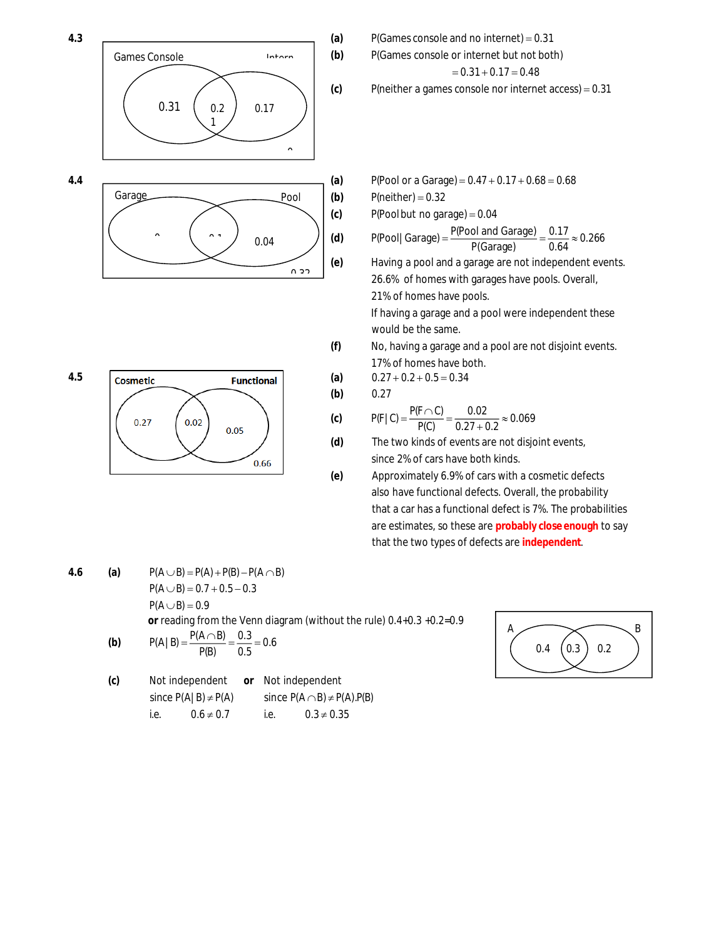

 $0.02$ 

 $0.05$ 

0.66

 $0.27$ 

P(Games console or internet but not both)  $= 0.31 + 0.17 = 0.48$ 

P(neither a games console nor internet access) =  $0.31$ 

 $P(neither) = 0.32$ 

 $P(Pool$  but no garage) = 0.04

$$
P(Pool | \text{Garage}) = \frac{P(Pool \text{ and Garage})}{P(\text{Garage})} = \frac{0.17}{0.64} \approx 0.266
$$

(e) Having a pool and a garage are not independent events. 26.6% of homes with garages have pools. Overall, 21% of homes have pools.

> If having a garage and a pool were independent these would be the same.

**(f)** No, having a garage and a pool are not disjoint events. 17% of homes have both.

$$
0.27\pm0.2\pm0.5\,{=}\,0.34
$$

$$
0.27 \\
$$

**(a) (b) (c)**

 $0.32$ 

**(d)**

$$
P(F | C) = \frac{P(F \cap C)}{P(C)} = \frac{0.02}{0.27 + 0.2} \approx 0.069
$$

The two kinds of events are not disjoint events, since 2% of cars have both kinds.

Approximately 6.9% of cars with a cosmetic defe **(e)** cts also have functional defects. Overall, the probability that a car has a functional defect is 7%. The probabilities are estimates, so these are probably close enough to say that the two types of defect s are **independent**.

4.6 (a) 
$$
P(A \cup B) = P(A) + P(B) - P(A \cap B)
$$
  
\n $P(A \cup B) = 0.7 + 0.5 - 0.3$   
\n $P(A \cup B) = 0.9$   
\nor reading from the Venn diagram (without the rule) 0.4+0.3 +0.2=0.9  
\n(b)  $P(A | B) = \frac{P(A \cap B)}{P(B)} = \frac{0.3}{0.5} = 0.6$ 

(c) Not independent or Not independent  
\nsince 
$$
P(A|B) \neq P(A)
$$
 since  $P(A \cap B) \neq P(A) \cdot P(B)$   
\ni.e.  $0.6 \neq 0.7$  i.e.  $0.3 \neq 0.35$ 



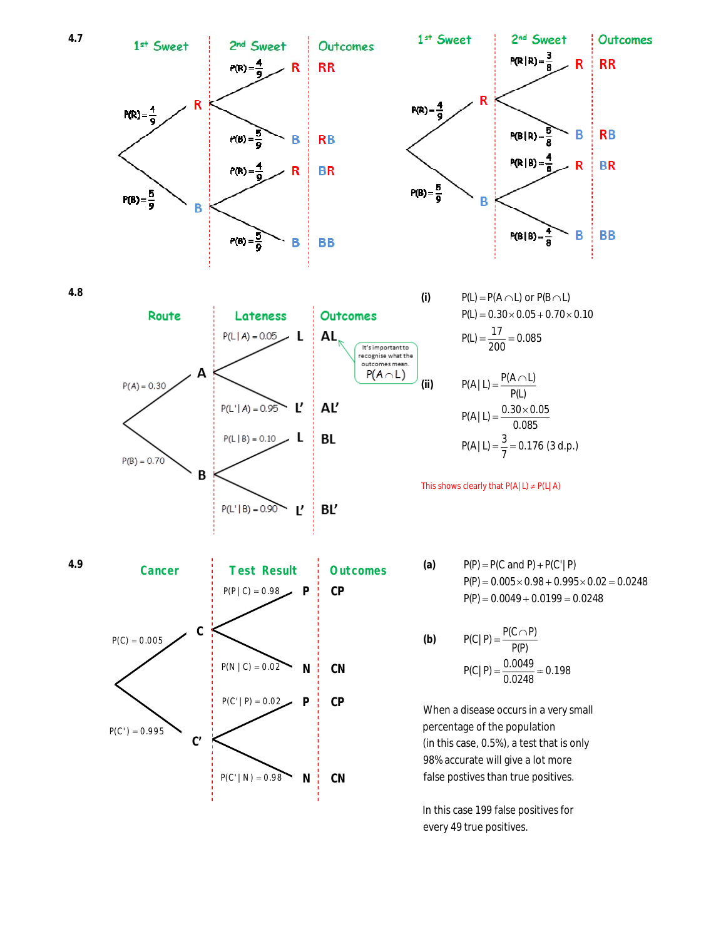

In this case 199 false positives for every 49 true positives. positives.